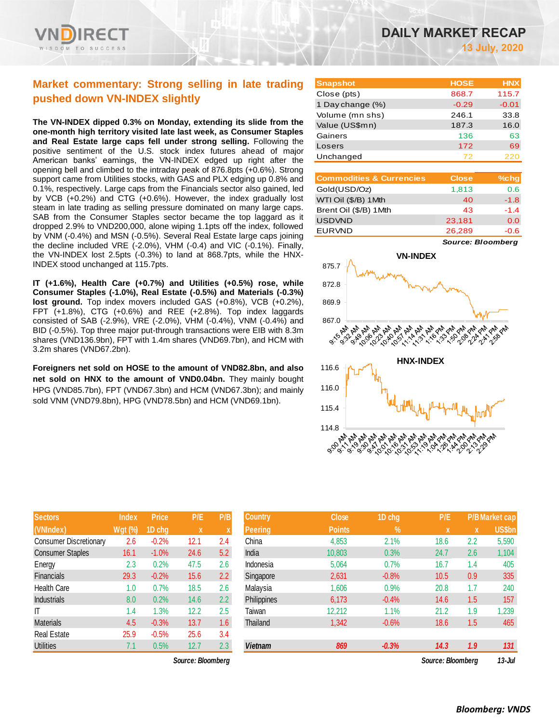

## **Market commentary: Strong selling in late trading pushed down VN-INDEX slightly**

**The VN-INDEX dipped 0.3% on Monday, extending its slide from the one-month high territory visited late last week, as Consumer Staples and Real Estate large caps fell under strong selling.** Following the positive sentiment of the U.S. stock index futures ahead of major American banks' earnings, the VN-INDEX edged up right after the opening bell and climbed to the intraday peak of 876.8pts (+0.6%). Strong support came from Utilities stocks, with GAS and PLX edging up 0.8% and 0.1%, respectively. Large caps from the Financials sector also gained, led by VCB (+0.2%) and CTG (+0.6%). However, the index gradually lost steam in late trading as selling pressure dominated on many large caps. SAB from the Consumer Staples sector became the top laggard as it dropped 2.9% to VND200,000, alone wiping 1.1pts off the index, followed by VNM (-0.4%) and MSN (-0.5%). Several Real Estate large caps joining the decline included VRE (-2.0%), VHM (-0.4) and VIC (-0.1%). Finally, the VN-INDEX lost 2.5pts (-0.3%) to land at 868.7pts, while the HNX-INDEX stood unchanged at 115.7pts.

**IT (+1.6%), Health Care (+0.7%) and Utilities (+0.5%) rose, while Consumer Staples (-1.0%), Real Estate (-0.5%) and Materials (-0.3%) lost ground.** Top index movers included GAS (+0.8%), VCB (+0.2%), FPT (+1.8%), CTG (+0.6%) and REE (+2.8%). Top index laggards consisted of SAB (-2.9%), VRE (-2.0%), VHM (-0.4%), VNM (-0.4%) and BID (-0.5%). Top three major put-through transactions were EIB with 8.3m shares (VND136.9bn), FPT with 1.4m shares (VND69.7bn), and HCM with 3.2m shares (VND67.2bn).

**Foreigners net sold on HOSE to the amount of VND82.8bn, and also net sold on HNX to the amount of VND0.04bn.** They mainly bought HPG (VND85.7bn), FPT (VND67.3bn) and HCM (VND67.3bn); and mainly sold VNM (VND79.8bn), HPG (VND78.5bn) and HCM (VND69.1bn).

| <b>Sectors</b>                | <b>Index</b> | <b>Price</b> | P/E         | P/B              |
|-------------------------------|--------------|--------------|-------------|------------------|
| (VNIndex)                     | Wgt (%)      | 1D chg       | $\mathbf x$ | X                |
| <b>Consumer Discretionary</b> | 2.6          | $-0.2%$      | 12.1        | 2.4              |
| <b>Consumer Staples</b>       | 16.1         | $-1.0%$      | 24.6        | 5.2              |
| Energy                        | 2.3          | 0.2%         | 47.5        | 2.6              |
| <b>Financials</b>             | 29.3         | $-0.2%$      | 15.6        | $2.2\phantom{0}$ |
| Health Care                   | 1.0          | 0.7%         | 18.5        | 2.6              |
| <b>Industrials</b>            | 8.0          | 0.2%         | 14.6        | 2.2              |
| ıτ                            | 1.4          | 1.3%         | 12.2        | 2.5              |
| <b>Materials</b>              | 4.5          | $-0.3%$      | 13.7        | 1.6              |
| <b>Real Estate</b>            | 25.9         | $-0.5%$      | 25.6        | 3.4              |
| <b>Utilities</b>              | 7.1          | 0.5%         | 12.7        | 2.3              |

| <b>Snapshot</b>  | <b>HOSE</b> | <b>HNX</b> |
|------------------|-------------|------------|
| Close (pts)      | 868.7       | 115.7      |
| 1 Day change (%) | $-0.29$     | $-0.01$    |
| Volume (mn shs)  | 246.1       | 33.8       |
| Value (US\$mn)   | 187.3       | 16.0       |
| Gainers          | 136         | 63         |
| Losers           | 172         | 69         |
| Unchanged        | 72          | 220        |

| <b>Commodities &amp; Currencies</b> | <b>Close</b> | $%$ chg |
|-------------------------------------|--------------|---------|
| Gold(USD/Oz)                        | 1,813        | 0.6     |
| WTI Oil (\$/B) 1 Mth                | 40           | $-1.8$  |
| Brent Oil (\$/B) 1Mth               | 43           | $-1.4$  |
| <b>USDVND</b>                       | 23,181       | 0.0     |
| <b>EURVND</b>                       | 26,289       | -0.6    |

*Source: Bloomberg*



| <b>Sectors</b>          | <b>Index</b>   | <b>Price</b> | P/E                       | P/B | <b>Country</b> | <b>Close</b>  | 1D chg  | P/E               |     | <b>P/B Market cap</b> |
|-------------------------|----------------|--------------|---------------------------|-----|----------------|---------------|---------|-------------------|-----|-----------------------|
| (VNIndex)               | <b>Wgt (%)</b> | 1D chg       | $\boldsymbol{\mathsf{x}}$ |     | <b>Peering</b> | <b>Points</b> | $\%$    | X                 | X   | US\$bn                |
| Consumer Discretionary  | 2.6            | $-0.2%$      | 12.1                      | 2.4 | China          | 4,853         | 2.1%    | 18.6              | 2.2 | 5,590                 |
| <b>Consumer Staples</b> | 16.1           | $-1.0%$      | 24.6                      | 5.2 | India          | 10,803        | 0.3%    | 24.7              | 2.6 | 1,104                 |
| Energy                  | 2.3            | 0.2%         | 47.5                      | 2.6 | Indonesia      | 5,064         | 0.7%    | 16.7              | 1.4 | 405                   |
| Financials              | 29.3           | $-0.2%$      | 15.6                      | 2.2 | Singapore      | 2,631         | $-0.8%$ | 10.5              | 0.9 | 335                   |
| Health Care             | 1.0            | 0.7%         | 18.5                      | 2.6 | Malaysia       | 1,606         | 0.9%    | 20.8              | 1.7 | 240                   |
| Industrials             | 8.0            | 0.2%         | 14.6                      | 2.2 | Philippines    | 6,173         | $-0.4%$ | 14.6              | 1.5 | 157                   |
|                         | 1.4            | $1.3\%$      | 12.2                      | 2.5 | Taiwan         | 12,212        | 1.1%    | 21.2              | 1.9 | 1,239                 |
| Materials               | 4.5            | $-0.3%$      | 13.7                      | 1.6 | Thailand       | 1,342         | $-0.6%$ | 18.6              | 1.5 | 465                   |
| Real Estate             | 25.9           | $-0.5%$      | 25.6                      | 3.4 |                |               |         |                   |     |                       |
| Utilities               | 7.1            | 0.5%         | 12.7                      | 2.3 | <b>Vietnam</b> | 869           | $-0.3%$ | 14.3              | 1.9 | 131                   |
|                         |                |              | Source: Bloomberg         |     |                |               |         | Source: Bloombera |     | $13 -$ Jul            |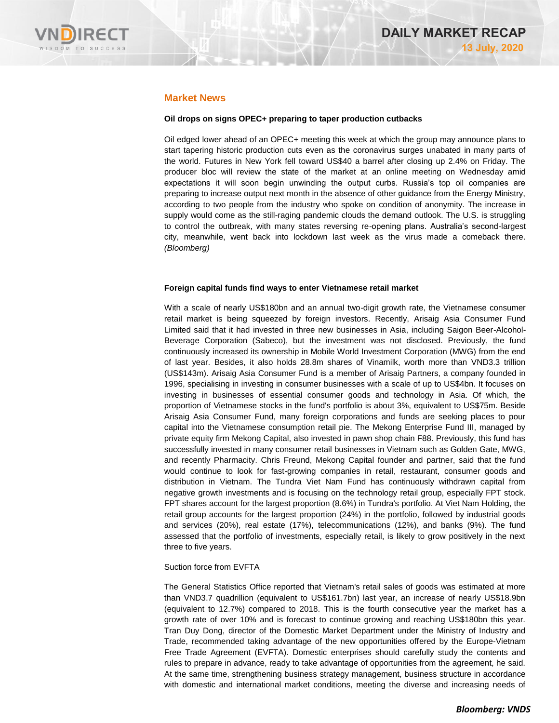

## **Market News**

### **Oil drops on signs OPEC+ preparing to taper production cutbacks**

Oil edged lower ahead of an OPEC+ meeting this week at which the group may announce plans to start tapering historic production cuts even as the coronavirus surges unabated in many parts of the world. Futures in New York fell toward US\$40 a barrel after closing up 2.4% on Friday. The producer bloc will review the state of the market at an online meeting on Wednesday amid expectations it will soon begin unwinding the output curbs. Russia's top oil companies are preparing to increase output next month in the absence of other guidance from the Energy Ministry, according to two people from the industry who spoke on condition of anonymity. The increase in supply would come as the still-raging pandemic clouds the demand outlook. The U.S. is struggling to control the outbreak, with many states reversing re-opening plans. Australia's second-largest city, meanwhile, went back into lockdown last week as the virus made a comeback there. *(Bloomberg)*

#### **Foreign capital funds find ways to enter Vietnamese retail market**

With a scale of nearly US\$180bn and an annual two-digit growth rate, the Vietnamese consumer retail market is being squeezed by foreign investors. Recently, Arisaig Asia Consumer Fund Limited said that it had invested in three new businesses in Asia, including Saigon Beer-Alcohol-Beverage Corporation (Sabeco), but the investment was not disclosed. Previously, the fund continuously increased its ownership in Mobile World Investment Corporation (MWG) from the end of last year. Besides, it also holds 28.8m shares of Vinamilk, worth more than VND3.3 trillion (US\$143m). Arisaig Asia Consumer Fund is a member of Arisaig Partners, a company founded in 1996, specialising in investing in consumer businesses with a scale of up to US\$4bn. It focuses on investing in businesses of essential consumer goods and technology in Asia. Of which, the proportion of Vietnamese stocks in the fund's portfolio is about 3%, equivalent to US\$75m. Beside Arisaig Asia Consumer Fund, many foreign corporations and funds are seeking places to pour capital into the Vietnamese consumption retail pie. The Mekong Enterprise Fund III, managed by private equity firm Mekong Capital, also invested in pawn shop chain F88. Previously, this fund has successfully invested in many consumer retail businesses in Vietnam such as Golden Gate, MWG, and recently Pharmacity. Chris Freund, Mekong Capital founder and partner, said that the fund would continue to look for fast-growing companies in retail, restaurant, consumer goods and distribution in Vietnam. The Tundra Viet Nam Fund has continuously withdrawn capital from negative growth investments and is focusing on the technology retail group, especially FPT stock. FPT shares account for the largest proportion (8.6%) in Tundra's portfolio. At Viet Nam Holding, the retail group accounts for the largest proportion (24%) in the portfolio, followed by industrial goods and services (20%), real estate (17%), telecommunications (12%), and banks (9%). The fund assessed that the portfolio of investments, especially retail, is likely to grow positively in the next three to five years.

#### Suction force from EVFTA

The General Statistics Office reported that Vietnam's retail sales of goods was estimated at more than VND3.7 quadrillion (equivalent to US\$161.7bn) last year, an increase of nearly US\$18.9bn (equivalent to 12.7%) compared to 2018. This is the fourth consecutive year the market has a growth rate of over 10% and is forecast to continue growing and reaching US\$180bn this year. Tran Duy Dong, director of the Domestic Market Department under the Ministry of Industry and Trade, recommended taking advantage of the new opportunities offered by the Europe-Vietnam Free Trade Agreement (EVFTA). Domestic enterprises should carefully study the contents and rules to prepare in advance, ready to take advantage of opportunities from the agreement, he said. At the same time, strengthening business strategy management, business structure in accordance with domestic and international market conditions, meeting the diverse and increasing needs of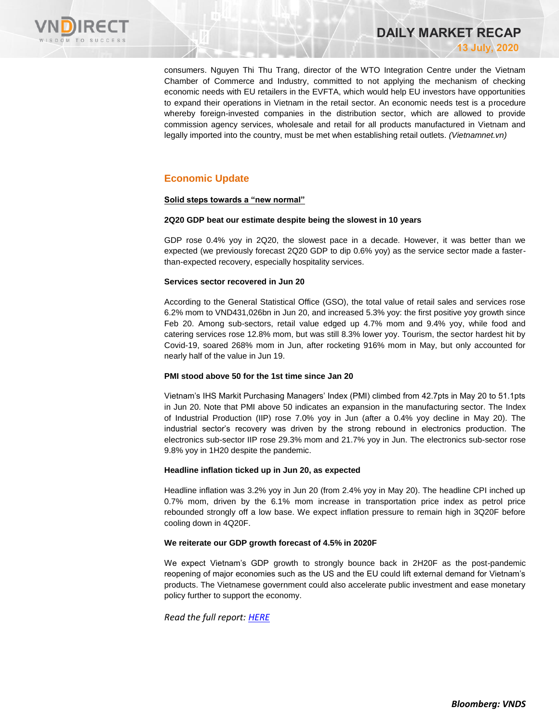

consumers. Nguyen Thi Thu Trang, director of the WTO Integration Centre under the Vietnam Chamber of Commerce and Industry, committed to not applying the mechanism of checking economic needs with EU retailers in the EVFTA, which would help EU investors have opportunities to expand their operations in Vietnam in the retail sector. An economic needs test is a procedure whereby foreign-invested companies in the distribution sector, which are allowed to provide commission agency services, wholesale and retail for all products manufactured in Vietnam and

legally imported into the country, must be met when establishing retail outlets. *(Vietnamnet.vn)*

**DAILY MARKET RECAP** 

**13 July, 2020**

## **Economic Update**

## **Solid steps towards a "new normal"**

#### **2Q20 GDP beat our estimate despite being the slowest in 10 years**

GDP rose 0.4% yoy in 2Q20, the slowest pace in a decade. However, it was better than we expected (we previously forecast 2Q20 GDP to dip 0.6% yoy) as the service sector made a fasterthan-expected recovery, especially hospitality services.

## **Services sector recovered in Jun 20**

According to the General Statistical Office (GSO), the total value of retail sales and services rose 6.2% mom to VND431,026bn in Jun 20, and increased 5.3% yoy: the first positive yoy growth since Feb 20. Among sub-sectors, retail value edged up 4.7% mom and 9.4% yoy, while food and catering services rose 12.8% mom, but was still 8.3% lower yoy. Tourism, the sector hardest hit by Covid-19, soared 268% mom in Jun, after rocketing 916% mom in May, but only accounted for nearly half of the value in Jun 19.

#### **PMI stood above 50 for the 1st time since Jan 20**

Vietnam's IHS Markit Purchasing Managers' Index (PMI) climbed from 42.7pts in May 20 to 51.1pts in Jun 20. Note that PMI above 50 indicates an expansion in the manufacturing sector. The Index of Industrial Production (IIP) rose 7.0% yoy in Jun (after a 0.4% yoy decline in May 20). The industrial sector's recovery was driven by the strong rebound in electronics production. The electronics sub-sector IIP rose 29.3% mom and 21.7% yoy in Jun. The electronics sub-sector rose 9.8% yoy in 1H20 despite the pandemic.

#### **Headline inflation ticked up in Jun 20, as expected**

Headline inflation was 3.2% yoy in Jun 20 (from 2.4% yoy in May 20). The headline CPI inched up 0.7% mom, driven by the 6.1% mom increase in transportation price index as petrol price rebounded strongly off a low base. We expect inflation pressure to remain high in 3Q20F before cooling down in 4Q20F.

## **We reiterate our GDP growth forecast of 4.5% in 2020F**

We expect Vietnam's GDP growth to strongly bounce back in 2H20F as the post-pandemic reopening of major economies such as the US and the EU could lift external demand for Vietnam's products. The Vietnamese government could also accelerate public investment and ease monetary policy further to support the economy.

*Read the full report: [HERE](https://nhanha-public-api.vndirect.com.vn/click/OGE0ODlmZDA3MDFjZjM0OTAxNzAxZWQ4OTRkZjAwMDk=/ZDQzOWNjMjEzOWI2NDk2OGIwZjFhOGZkYTRlYjI2ZGY=/d439cc2139b64968b0f1a8fda4eb26df-Economic%20Update_Vietnam_20200710.pdf/cmVzZWFyY2hAdm5kaXJlY3QuY29tLnZu/MjAyMDY=)*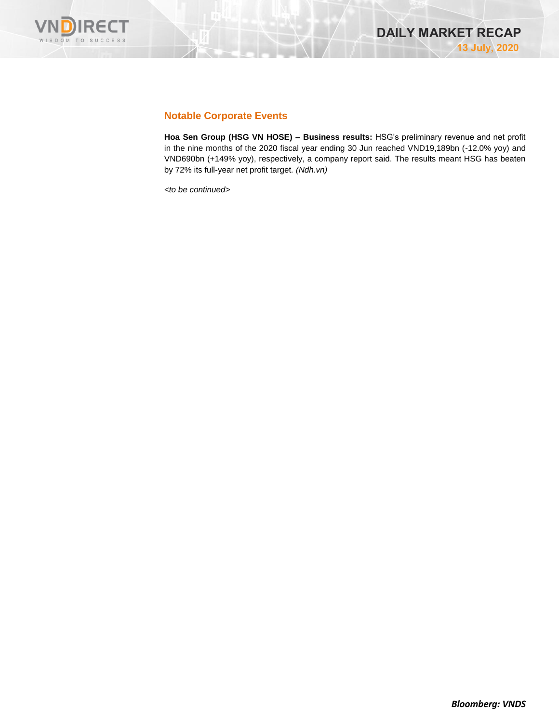

## **Notable Corporate Events**

**Hoa Sen Group (HSG VN HOSE) – Business results:** HSG's preliminary revenue and net profit in the nine months of the 2020 fiscal year ending 30 Jun reached VND19,189bn (-12.0% yoy) and VND690bn (+149% yoy), respectively, a company report said. The results meant HSG has beaten by 72% its full-year net profit target*. (Ndh.vn)*

*<to be continued>*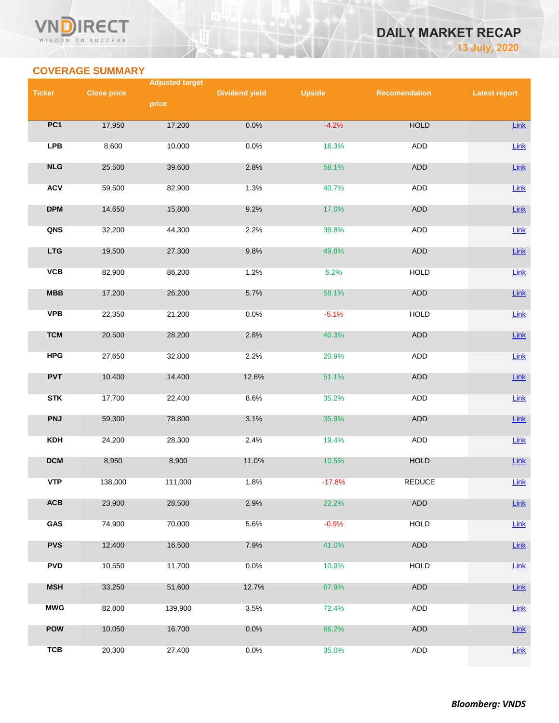## Vľ RECT WISDOM TO SUCCESS

## **DAILY MARKET RECAP 13 July, 2020**

## **COVERAGE SUMMARY**

|               | <b>Adjusted target</b> |         |                       |               |                      |                      |  |  |
|---------------|------------------------|---------|-----------------------|---------------|----------------------|----------------------|--|--|
| <b>Ticker</b> | <b>Close price</b>     |         | <b>Dividend yield</b> | <b>Upside</b> | <b>Recomendation</b> | <b>Latest report</b> |  |  |
|               |                        | price   |                       |               |                      |                      |  |  |
| PC1           | 17,950                 | 17,200  | 0.0%                  | $-4.2%$       | <b>HOLD</b>          | Link                 |  |  |
| <b>LPB</b>    | 8,600                  | 10,000  | 0.0%                  | 16.3%         | ADD                  | Link                 |  |  |
| NLG           | 25,500                 | 39,600  | 2.8%                  | 58.1%         | ADD                  | Link                 |  |  |
| <b>ACV</b>    | 59,500                 | 82,900  | 1.3%                  | 40.7%         | <b>ADD</b>           | Link                 |  |  |
| <b>DPM</b>    | 14,650                 | 15,800  | 9.2%                  | 17.0%         | ADD                  | Link                 |  |  |
| QNS           | 32,200                 | 44,300  | 2.2%                  | 39.8%         | ADD                  | Link                 |  |  |
| <b>LTG</b>    | 19,500                 | 27,300  | 9.8%                  | 49.8%         | ADD                  | Link                 |  |  |
| VCB           | 82,900                 | 86,200  | 1.2%                  | 5.2%          | <b>HOLD</b>          | Link                 |  |  |
| <b>MBB</b>    | 17,200                 | 26,200  | 5.7%                  | 58.1%         | ADD                  | Link                 |  |  |
| <b>VPB</b>    | 22,350                 | 21,200  | 0.0%                  | $-5.1%$       | <b>HOLD</b>          | Link                 |  |  |
| <b>TCM</b>    | 20,500                 | 28,200  | 2.8%                  | 40.3%         | <b>ADD</b>           | Link                 |  |  |
| <b>HPG</b>    | 27,650                 | 32,800  | 2.2%                  | 20.9%         | ADD                  | Link                 |  |  |
| <b>PVT</b>    | 10,400                 | 14,400  | 12.6%                 | 51.1%         | ADD                  | Link                 |  |  |
| <b>STK</b>    | 17,700                 | 22,400  | 8.6%                  | 35.2%         | ADD                  | Link                 |  |  |
| <b>PNJ</b>    | 59,300                 | 78,800  | 3.1%                  | 35.9%         | ADD                  | Link                 |  |  |
| <b>KDH</b>    | 24,200                 | 28,300  | 2.4%                  | 19.4%         | ADD                  | Link                 |  |  |
| <b>DCM</b>    | 8,950                  | 8,900   | 11.0%                 | 10.5%         | <b>HOLD</b>          | Link                 |  |  |
| <b>VTP</b>    | 138,000                | 111,000 | 1.8%                  | $-17.8%$      | <b>REDUCE</b>        | Link                 |  |  |
| ACB           | 23,900                 | 28,500  | 2.9%                  | 22.2%         | ADD                  | Link                 |  |  |
| GAS           | 74,900                 | 70,000  | 5.6%                  | $-0.9%$       | <b>HOLD</b>          | Link                 |  |  |
| <b>PVS</b>    | 12,400                 | 16,500  | 7.9%                  | 41.0%         | ADD                  | Link                 |  |  |
| <b>PVD</b>    | 10,550                 | 11,700  | 0.0%                  | 10.9%         | <b>HOLD</b>          | Link                 |  |  |
| <b>MSH</b>    | 33,250                 | 51,600  | 12.7%                 | 67.9%         | ADD                  | Link                 |  |  |
| <b>MWG</b>    | 82,800                 | 139,900 | 3.5%                  | 72.4%         | ADD                  | Link                 |  |  |
| <b>POW</b>    | 10,050                 | 16,700  | 0.0%                  | 66.2%         | ADD                  | Link                 |  |  |
| <b>TCB</b>    | 20,300                 | 27,400  | 0.0%                  | 35.0%         | <b>ADD</b>           | Link                 |  |  |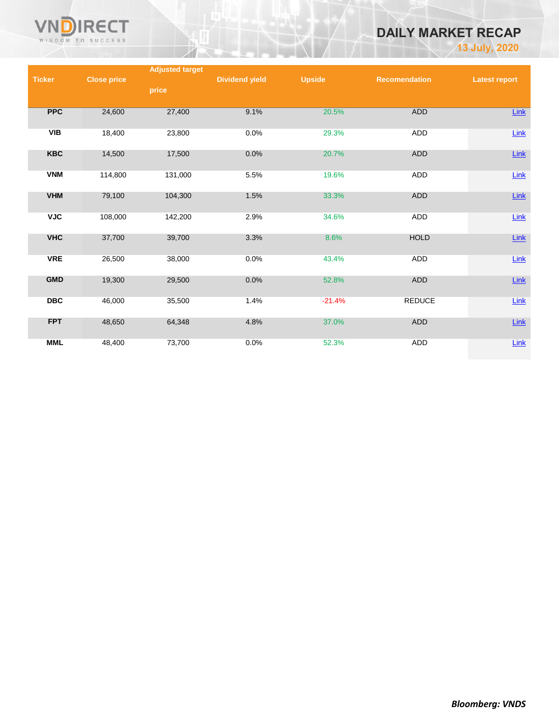

# **DAILY MARKET RECAP**

**13 July, 2020**

|               |                    | <b>Adjusted target</b> |                       |               |                      |                      |
|---------------|--------------------|------------------------|-----------------------|---------------|----------------------|----------------------|
| <b>Ticker</b> | <b>Close price</b> |                        | <b>Dividend yield</b> | <b>Upside</b> | <b>Recomendation</b> | <b>Latest report</b> |
|               |                    | price                  |                       |               |                      |                      |
|               |                    |                        |                       |               |                      |                      |
| <b>PPC</b>    | 24,600             | 27,400                 | 9.1%                  | 20.5%         | ADD                  | Link                 |
| VIB           | 18,400             | 23,800                 | 0.0%                  | 29.3%         | ADD                  | $Link$               |
| <b>KBC</b>    | 14,500             | 17,500                 | 0.0%                  | 20.7%         | <b>ADD</b>           | $Link$               |
| <b>VNM</b>    | 114,800            | 131,000                | 5.5%                  | 19.6%         | ADD                  | $Link$               |
| <b>VHM</b>    | 79,100             | 104,300                | 1.5%                  | 33.3%         | ADD                  | $Link$               |
| <b>VJC</b>    | 108,000            | 142,200                | 2.9%                  | 34.6%         | ADD                  | $Link$               |
| <b>VHC</b>    | 37,700             | 39,700                 | 3.3%                  | 8.6%          | <b>HOLD</b>          | $Link$               |
| <b>VRE</b>    | 26,500             | 38,000                 | 0.0%                  | 43.4%         | ADD                  | Link                 |
| <b>GMD</b>    | 19,300             | 29,500                 | 0.0%                  | 52.8%         | <b>ADD</b>           | $Link$               |
| <b>DBC</b>    | 46,000             | 35,500                 | 1.4%                  | $-21.4%$      | <b>REDUCE</b>        | Link                 |
| <b>FPT</b>    | 48,650             | 64,348                 | 4.8%                  | 37.0%         | ADD                  | $Link$               |
| <b>MML</b>    | 48,400             | 73,700                 | 0.0%                  | 52.3%         | ADD                  | $Link$               |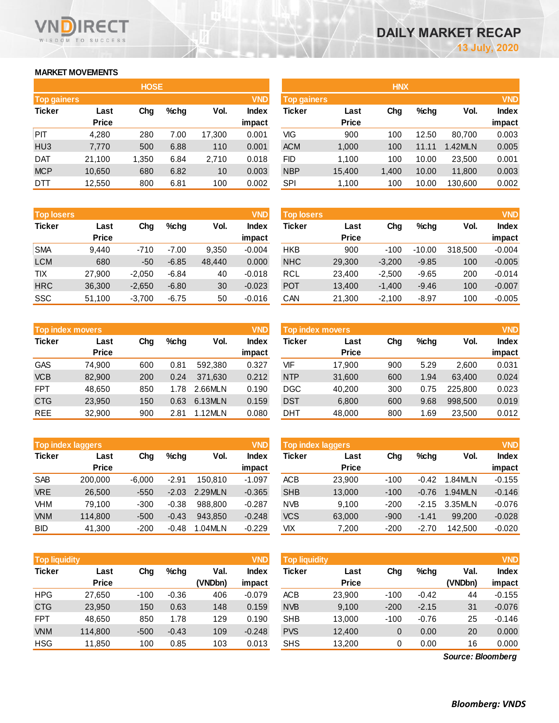## **MARKET MOVEMENTS**

WISDOM TO SUCCESS

**RECT** 

הו

|                    |              | <b>HOSE</b> |         |        |              | <b>HNX</b>         |              |       |         |         |            |
|--------------------|--------------|-------------|---------|--------|--------------|--------------------|--------------|-------|---------|---------|------------|
| <b>Top gainers</b> |              |             |         |        | <b>VND</b>   | <b>Top gainers</b> |              |       |         |         | <b>VND</b> |
| <b>Ticker</b>      | Last         | Chg         | $%$ chg | Vol.   | <b>Index</b> | <b>Ticker</b>      | Last         | Chg   | $%$ chg | Vol.    | Index      |
|                    | <b>Price</b> |             |         |        | impact       |                    | <b>Price</b> |       |         |         | impact     |
| <b>PIT</b>         | 4,280        | 280         | 7.00    | 17,300 | 0.001        | VIG                | 900          | 100   | 12.50   | 80.700  | 0.003      |
| HU <sub>3</sub>    | 7,770        | 500         | 6.88    | 110    | 0.001        | <b>ACM</b>         | 1,000        | 100   | 11.11   | 1.42MLN | 0.005      |
| <b>DAT</b>         | 21,100       | 1,350       | 6.84    | 2,710  | 0.018        | FID.               | 1,100        | 100   | 10.00   | 23,500  | 0.001      |
| <b>MCP</b>         | 10,650       | 680         | 6.82    | 10     | 0.003        | <b>NBP</b>         | 15,400       | 1,400 | 10.00   | 11,800  | 0.003      |
| DTT                | 12,550       | 800         | 6.81    | 100    | 0.002        | SPI                | 1,100        | 100   | 10.00   | 130,600 | 0.002      |

| <b>Top losers</b> |              |          |         |        | <b>VND</b>   |
|-------------------|--------------|----------|---------|--------|--------------|
| <b>Ticker</b>     | Last         |          | %chq    | Vol.   | <b>Index</b> |
|                   | <b>Price</b> |          |         |        | impact       |
| <b>SMA</b>        | 9.440        | $-710$   | $-7.00$ | 9,350  | $-0.004$     |
| <b>LCM</b>        | 680          | $-50$    | $-6.85$ | 48,440 | 0.000        |
| <b>TIX</b>        | 27.900       | $-2,050$ | $-6.84$ | 40     | $-0.018$     |
| <b>HRC</b>        | 36,300       | $-2,650$ | $-6.80$ | 30     | $-0.023$     |
| SSC               | 51,100       | $-3,700$ | $-6.75$ | 50     | $-0.016$     |

|               | <b>Top index movers</b> |     |      | <b>VND</b> |              |
|---------------|-------------------------|-----|------|------------|--------------|
| <b>Ticker</b> | Last                    | Cha | %chq | Vol.       | <b>Index</b> |
|               | <b>Price</b>            |     |      |            | impact       |
| <b>GAS</b>    | 74,900                  | 600 | 0.81 | 592.380    | 0.327        |
| <b>VCB</b>    | 82,900                  | 200 | 0.24 | 371,630    | 0.212        |
| <b>FPT</b>    | 48,650                  | 850 | 1.78 | 2.66MLN    | 0.190        |
| <b>CTG</b>    | 23,950                  | 150 | 0.63 | 6.13MLN    | 0.159        |
| <b>REE</b>    | 32,900                  | 900 | 2.81 | 1.12MLN    | 0.080        |

|               | <b>Top index laggers</b> |          |         |         | <b>VND</b>   |
|---------------|--------------------------|----------|---------|---------|--------------|
| <b>Ticker</b> | Last                     | Cha      | %chq    | Vol.    | <b>Index</b> |
|               | <b>Price</b>             |          |         |         | impact       |
| <b>SAB</b>    | 200,000                  | $-6,000$ | $-2.91$ | 150.810 | $-1.097$     |
| <b>VRE</b>    | 26,500                   | $-550$   | $-2.03$ | 2.29MLN | $-0.365$     |
| VHM           | 79,100                   | $-300$   | $-0.38$ | 988.800 | $-0.287$     |
| <b>VNM</b>    | 114,800                  | $-500$   | $-0.43$ | 943,850 | $-0.248$     |
| BID           | 41,300                   | $-200$   | $-0.48$ | 1.04MLN | $-0.229$     |

|                    |              | <b>HOSE</b> |      |        |              | <b>HNX</b> |                    |       |       |         |        |  |
|--------------------|--------------|-------------|------|--------|--------------|------------|--------------------|-------|-------|---------|--------|--|
| <b>Top gainers</b> |              |             |      |        | <b>VND</b>   |            | <b>Top gainers</b> |       |       |         |        |  |
| Ticker             | Last         | Chg         | %chq | Vol.   | <b>Index</b> | Ticker     | Last               | Chg   | %chq  | Vol.    | Index  |  |
|                    | <b>Price</b> |             |      |        | impact       |            | <b>Price</b>       |       |       |         | impact |  |
| PIT                | 4,280        | 280         | 7.00 | 17,300 | 0.001        | VIG        | 900                | 100   | 12.50 | 80.700  | 0.003  |  |
| HU3                | 7,770        | 500         | 6.88 | 110    | 0.001        | <b>ACM</b> | 1,000              | 100   | 11.11 | 1.42MLN | 0.005  |  |
| DAT                | 21.100       | 1,350       | 6.84 | 2,710  | 0.018        | FID        | 1.100              | 100   | 10.00 | 23,500  | 0.001  |  |
| <b>MCP</b>         | 10,650       | 680         | 6.82 | 10     | 0.003        | <b>NBP</b> | 15,400             | 1,400 | 10.00 | 11,800  | 0.003  |  |
| <b>DTT</b>         | 10ECD        | 000         | 0.04 | 100    | 0.002        | CDI        | 1.100              | 100   | 10.00 | 120000  | n nnh  |  |

| <b>Top losers</b> |              |          |         |        | <b>VND</b>   | <b>Top losers</b> |              |          |          |         | <b>VND</b>   |
|-------------------|--------------|----------|---------|--------|--------------|-------------------|--------------|----------|----------|---------|--------------|
| Ticker            | Last         | Chg      | $%$ chg | Vol.   | <b>Index</b> | Ticker            | Last         | Chg      | $%$ chg  | Vol.    | <b>Index</b> |
|                   | <b>Price</b> |          |         |        | impact       |                   | <b>Price</b> |          |          |         | impact       |
| <b>SMA</b>        | 9,440        | $-710$   | $-7.00$ | 9,350  | $-0.004$     | <b>HKB</b>        | 900          | $-100$   | $-10.00$ | 318,500 | $-0.004$     |
| LCM               | 680          | $-50$    | $-6.85$ | 48,440 | 0.000        | <b>NHC</b>        | 29,300       | $-3.200$ | $-9.85$  | 100     | $-0.005$     |
| TIX               | 27,900       | $-2,050$ | $-6.84$ | 40     | $-0.018$     | RCL               | 23,400       | $-2,500$ | $-9.65$  | 200     | $-0.014$     |
| <b>HRC</b>        | 36,300       | $-2,650$ | $-6.80$ | 30     | $-0.023$     | <b>POT</b>        | 13,400       | $-1,400$ | $-9.46$  | 100     | $-0.007$     |
| SSC               | 51,100       | $-3,700$ | $-6.75$ | 50     | $-0.016$     | CAN               | 21,300       | $-2,100$ | $-8.97$  | 100     | $-0.005$     |
|                   |              |          |         |        |              |                   |              |          |          |         |              |

| <b>Top index movers</b> |              |     |      |         | <b>VND</b> | <b>VND</b><br>Top index movers, |              |     |         |         |              |
|-------------------------|--------------|-----|------|---------|------------|---------------------------------|--------------|-----|---------|---------|--------------|
| Ticker                  | Last         | Chg | %chq | Vol.    | Index      | Ticker                          | Last         | Chg | $%$ chq | Vol.    | <b>Index</b> |
|                         | <b>Price</b> |     |      |         | impact     |                                 | <b>Price</b> |     |         |         | impact       |
| GAS                     | 74.900       | 600 | 0.81 | 592.380 | 0.327      | VIF                             | 17.900       | 900 | 5.29    | 2.600   | 0.031        |
| <b>VCB</b>              | 82,900       | 200 | 0.24 | 371.630 | 0.212      | <b>NTP</b>                      | 31,600       | 600 | 1.94    | 63.400  | 0.024        |
| FPT                     | 48.650       | 850 | 1.78 | 2.66MLN | 0.190      | <b>DGC</b>                      | 40,200       | 300 | 0.75    | 225.800 | 0.023        |
| <b>CTG</b>              | 23,950       | 150 | 0.63 | 6.13MLN | 0.159      | <b>DST</b>                      | 6,800        | 600 | 9.68    | 998,500 | 0.019        |
| REE                     | 32,900       | 900 | 2.81 | 1.12MLN | 0.080      | <b>DHT</b>                      | 48,000       | 800 | 1.69    | 23,500  | 0.012        |
|                         |              |     |      |         |            |                                 |              |     |         |         |              |

|            | <b>Top index laggers</b> |          |         |         | <b>VND</b>             | Top index laggers |                      |        |         |         |                        |
|------------|--------------------------|----------|---------|---------|------------------------|-------------------|----------------------|--------|---------|---------|------------------------|
| Ticker     | Last<br><b>Price</b>     | Chg      | $%$ chg | Vol.    | <b>Index</b><br>impact | Ticker            | Last<br><b>Price</b> | Chg    | $%$ chg | Vol.    | <b>Index</b><br>impact |
| SAB        | 200.000                  | $-6.000$ | $-2.91$ | 150.810 | $-1.097$               | <b>ACB</b>        | 23,900               | $-100$ | $-0.42$ | 1.84MLN | $-0.155$               |
| <b>VRE</b> | 26,500                   | $-550$   | $-2.03$ | 2.29MLN | $-0.365$               | <b>SHB</b>        | 13,000               | $-100$ | $-0.76$ | 1.94MLN | $-0.146$               |
| VHM        | 79.100                   | $-300$   | $-0.38$ | 988.800 | $-0.287$               | <b>NVB</b>        | 9.100                | $-200$ | $-2.15$ | 3.35MLN | $-0.076$               |
| <b>VNM</b> | 114,800                  | $-500$   | $-0.43$ | 943.850 | $-0.248$               | <b>VCS</b>        | 63,000               | $-900$ | $-1.41$ | 99,200  | $-0.028$               |
| BID        | 41,300                   | $-200$   | $-0.48$ | 1.04MLN | $-0.229$               | VIX               | 7,200                | $-200$ | $-2.70$ | 142.500 | $-0.020$               |

| <b>Top liquidity</b> |                      |        |         |         | <b>VND</b>   | <b>Top liquidity</b> |                      |        |         |                   | <b>VND</b> |
|----------------------|----------------------|--------|---------|---------|--------------|----------------------|----------------------|--------|---------|-------------------|------------|
| Ticker               | Last<br><b>Price</b> | Chg    | %chq    | Val.    | <b>Index</b> | Ticker               | Last<br><b>Price</b> | Chg    | $%$ chg | Val.              | Index      |
|                      |                      |        |         | (VNDbn) | impact       |                      |                      |        |         | (VNDbn)           | impact     |
| HPG                  | 27.650               | $-100$ | $-0.36$ | 406     | $-0.079$     | <b>ACB</b>           | 23.900               | $-100$ | $-0.42$ | 44                | $-0.155$   |
| <b>CTG</b>           | 23,950               | 150    | 0.63    | 148     | 0.159        | <b>NVB</b>           | 9,100                | $-200$ | $-2.15$ | 31                | $-0.076$   |
| <b>FPT</b>           | 48.650               | 850    | 1.78    | 129     | 0.190        | <b>SHB</b>           | 13,000               | $-100$ | $-0.76$ | 25                | $-0.146$   |
| <b>VNM</b>           | 114,800              | $-500$ | $-0.43$ | 109     | $-0.248$     | <b>PVS</b>           | 12,400               | 0      | 0.00    | 20                | 0.000      |
| HSG                  | 11,850               | 100    | 0.85    | 103     | 0.013        | <b>SHS</b>           | 13,200               | 0      | 0.00    | 16                | 0.000      |
|                      |                      |        |         |         |              |                      |                      |        |         | Source: Bloomberg |            |

*Source: Bloomberg*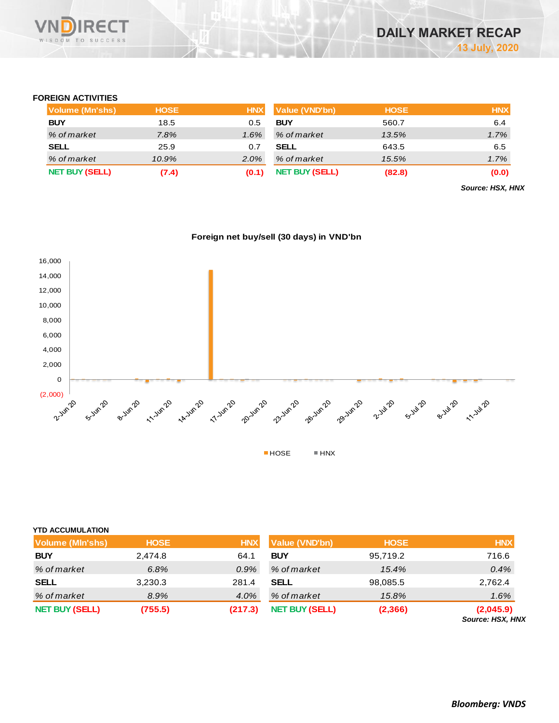## **FOREIGN ACTIVITIES**

| Volume (Mn'shs)       | <b>HOSE</b> | <b>HNX</b> | <b>Value (VND'bn)</b> | <b>HOSE</b> | <b>HNX</b> |
|-----------------------|-------------|------------|-----------------------|-------------|------------|
| <b>BUY</b>            | 18.5        | 0.5        | <b>BUY</b>            | 560.7       | 6.4        |
| % of market           | 7.8%        | $1.6\%$    | % of market           | 13.5%       | 1.7%       |
| SELL                  | 25.9        | 0.7        | <b>SELL</b>           | 643.5       | 6.5        |
| % of market           | $10.9\%$    | $2.0\%$    | % of market           | 15.5%       | 1.7%       |
| <b>NET BUY (SELL)</b> | (7.4)       | (0.1)      | <b>NET BUY (SELL)</b> | (82.8)      | (0.0)      |

*Source: HSX, HNX*





| <b>NET BUY (SELL)</b>   | (755.5)     | (217.3)    | <b>NET BUY (SELL)</b> | (2,366)     | (2,045.9)<br>Source: HSX, HNX |
|-------------------------|-------------|------------|-----------------------|-------------|-------------------------------|
| % of market             | 8.9%        | 4.0%       | % of market           | 15.8%       | 1.6%                          |
| <b>SELL</b>             | 3,230.3     | 281.4      | <b>SELL</b>           | 98,085.5    | 2,762.4                       |
| % of market             | 6.8%        | $0.9\%$    | % of market           | 15.4%       | 0.4%                          |
| <b>BUY</b>              | 2,474.8     | 64.1       | <b>BUY</b>            | 95,719.2    | 716.6                         |
| <b>Volume (MIn'shs)</b> | <b>HOSE</b> | <b>HNX</b> | <b>Value (VND'bn)</b> | <b>HOSE</b> | <b>HNX</b>                    |
| YTD ACCUMULATION        |             |            |                       |             |                               |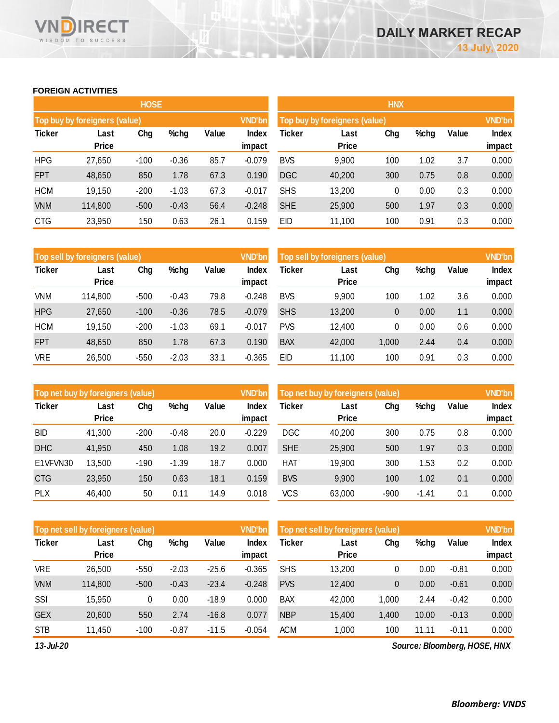## **FOREIGN ACTIVITIES**

WISDOM TO SUCCESS

**RECT** 

VND

|               |                               | <b>HOSE</b> |         |       |                 | <b>HNX</b>                    |               |               |      |       |                        |  |
|---------------|-------------------------------|-------------|---------|-------|-----------------|-------------------------------|---------------|---------------|------|-------|------------------------|--|
|               | Top buy by foreigners (value) |             |         |       | <b>VND'bn</b>   | Top buy by foreigners (value) |               | <b>VND'bn</b> |      |       |                        |  |
| <b>Ticker</b> | Last<br><b>Price</b>          | Chg         | %chg    | Value | Index<br>impact | <b>Ticker</b>                 | Last<br>Price | Chg           | %chg | Value | <b>Index</b><br>impact |  |
| <b>HPG</b>    | 27,650                        | $-100$      | $-0.36$ | 85.7  | $-0.079$        | <b>BVS</b>                    | 9,900         | 100           | 1.02 | 3.7   | 0.000                  |  |
| <b>FPT</b>    | 48,650                        | 850         | 1.78    | 67.3  | 0.190           | <b>DGC</b>                    | 40,200        | 300           | 0.75 | 0.8   | 0.000                  |  |
| <b>HCM</b>    | 19,150                        | $-200$      | $-1.03$ | 67.3  | $-0.017$        | <b>SHS</b>                    | 13,200        | 0             | 0.00 | 0.3   | 0.000                  |  |
| <b>VNM</b>    | 114,800                       | $-500$      | $-0.43$ | 56.4  | $-0.248$        | <b>SHE</b>                    | 25,900        | 500           | 1.97 | 0.3   | 0.000                  |  |
| <b>CTG</b>    | 23,950                        | 150         | 0.63    | 26.1  | 0.159           | EID                           | 11,100        | 100           | 0.91 | 0.3   | 0.000                  |  |

|               | Top sell by foreigners (value), |        |         |       | <b>VND'bn</b>   | Top sell by foreigners (value) |                      |       |      |       | <b>VND'bn</b>   |
|---------------|---------------------------------|--------|---------|-------|-----------------|--------------------------------|----------------------|-------|------|-------|-----------------|
| <b>Ticker</b> | Last<br><b>Price</b>            | Chg    | %chg    | Value | Index<br>impact | Ticker                         | Last<br><b>Price</b> | Chg   | %chg | Value | Index<br>impact |
| VNM           | 114,800                         | $-500$ | $-0.43$ | 79.8  | $-0.248$        | <b>BVS</b>                     | 9,900                | 100   | 1.02 | 3.6   | 0.000           |
| <b>HPG</b>    | 27,650                          | $-100$ | $-0.36$ | 78.5  | $-0.079$        | <b>SHS</b>                     | 13,200               | 0     | 0.00 | 1.1   | 0.000           |
| <b>HCM</b>    | 19.150                          | $-200$ | $-1.03$ | 69.1  | $-0.017$        | <b>PVS</b>                     | 12,400               | 0     | 0.00 | 0.6   | 0.000           |
| <b>FPT</b>    | 48,650                          | 850    | 1.78    | 67.3  | 0.190           | <b>BAX</b>                     | 42,000               | 1,000 | 2.44 | 0.4   | 0.000           |
| <b>VRE</b>    | 26,500                          | $-550$ | $-2.03$ | 33.1  | $-0.365$        | <b>EID</b>                     | 11,100               | 100   | 0.91 | 0.3   | 0.000           |

| Top net buy by foreigners (value) |                      |        |         |       | <b>VND'bn</b>   | <b>VND'bn</b><br>Top net buy by foreigners (value) |                      |        |         |       |                        |
|-----------------------------------|----------------------|--------|---------|-------|-----------------|----------------------------------------------------|----------------------|--------|---------|-------|------------------------|
| <b>Ticker</b>                     | Last<br><b>Price</b> | Chg    | %chg    | Value | Index<br>impact | Ticker                                             | Last<br><b>Price</b> | Chg    | %chg    | Value | <b>Index</b><br>impact |
| <b>BID</b>                        | 41,300               | $-200$ | $-0.48$ | 20.0  | $-0.229$        | <b>DGC</b>                                         | 40,200               | 300    | 0.75    | 0.8   | 0.000                  |
| <b>DHC</b>                        | 41,950               | 450    | 1.08    | 19.2  | 0.007           | <b>SHE</b>                                         | 25,900               | 500    | 1.97    | 0.3   | 0.000                  |
| E1VFVN30                          | 13,500               | $-190$ | $-1.39$ | 18.7  | 0.000           | HAT                                                | 19,900               | 300    | 1.53    | 0.2   | 0.000                  |
| <b>CTG</b>                        | 23,950               | 150    | 0.63    | 18.1  | 0.159           | <b>BVS</b>                                         | 9,900                | 100    | 1.02    | 0.1   | 0.000                  |
| <b>PLX</b>                        | 46,400               | 50     | 0.11    | 14.9  | 0.018           | <b>VCS</b>                                         | 63,000               | $-900$ | $-1.41$ | 0.1   | 0.000                  |
|                                   |                      |        |         |       |                 |                                                    |                      |        |         |       |                        |

|               | Top net sell by foreigners (value) |        |         |         | <b>VND'bn</b>   | Top net sell by foreigners (value) |                      | <b>VND'bn</b>  |       |         |                        |
|---------------|------------------------------------|--------|---------|---------|-----------------|------------------------------------|----------------------|----------------|-------|---------|------------------------|
| <b>Ticker</b> | Last<br><b>Price</b>               | Chg    | %chg    | Value   | Index<br>impact | Ticker                             | Last<br><b>Price</b> | Chg            | %chg  | Value   | <b>Index</b><br>impact |
| VRE           | 26,500                             | $-550$ | $-2.03$ | $-25.6$ | $-0.365$        | <b>SHS</b>                         | 13,200               | 0              | 0.00  | $-0.81$ | 0.000                  |
| <b>VNM</b>    | 114,800                            | $-500$ | $-0.43$ | $-23.4$ | $-0.248$        | <b>PVS</b>                         | 12,400               | $\overline{0}$ | 0.00  | $-0.61$ | 0.000                  |
| SSI           | 15,950                             | 0      | 0.00    | $-18.9$ | 0.000           | <b>BAX</b>                         | 42,000               | 1,000          | 2.44  | $-0.42$ | 0.000                  |
| <b>GEX</b>    | 20,600                             | 550    | 2.74    | $-16.8$ | 0.077           | <b>NBP</b>                         | 15,400               | 1,400          | 10.00 | $-0.13$ | 0.000                  |
| <b>STB</b>    | 11,450                             | $-100$ | $-0.87$ | $-11.5$ | $-0.054$        | <b>ACM</b>                         | 1,000                | 100            | 11.11 | $-0.11$ | 0.000                  |

*13-Jul-20*

*Source: Bloomberg, HOSE, HNX*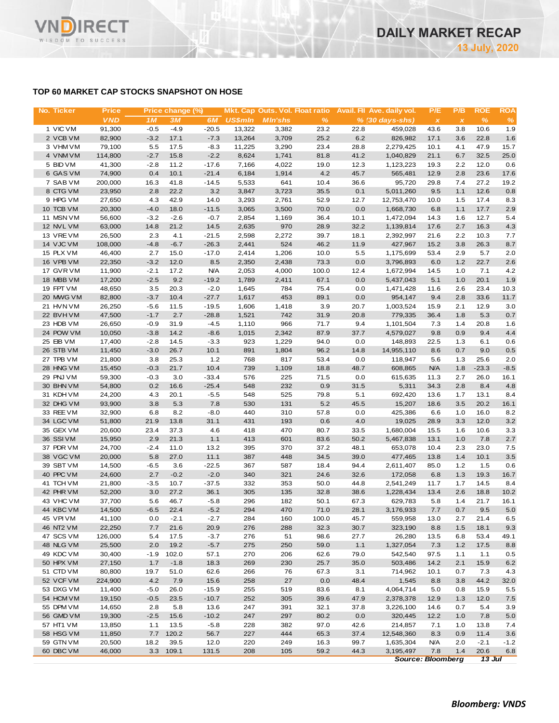## **TOP 60 MARKET CAP STOCKS SNAPSHOT ON HOSE**

| No. Ticker             | <b>Price</b>      |                | Price change (%) |                    |                |                |              |              | Mkt. Cap Outs. Vol. Float ratio Avail. Fil Ave. daily vol. | P/E               | P/B          | <b>ROE</b>    | <b>ROA</b>    |
|------------------------|-------------------|----------------|------------------|--------------------|----------------|----------------|--------------|--------------|------------------------------------------------------------|-------------------|--------------|---------------|---------------|
|                        | <b>VND</b>        | 1 <sub>M</sub> | <b>3M</b>        | 6M                 | <b>US\$mln</b> | <b>MIn'shs</b> | $\%$         |              | $% (30 days-shs)$                                          | $\pmb{\times}$    | $\pmb{\chi}$ | $\frac{9}{6}$ | $\%$          |
| 1 VIC VM               | 91,300            | $-0.5$         | $-4.9$           | $-20.5$            | 13.322         | 3,382          | 23.2         | 22.8         | 459,028                                                    | 43.6              | 3.8          | 10.6          | 1.9           |
| 2 VCB VM               | 82,900            | $-3.2$         | 17.1             | $-7.3$             | 13,264         | 3,709          | 25.2         | 6.2          | 826,982                                                    | 17.1              | 3.6          | 22.8          | 1.6           |
| 3 VHM VM               | 79,100            | 5.5            | 17.5             | $-8.3$             | 11,225         | 3,290          | 23.4         | 28.8         | 2,279,425                                                  | 10.1              | 4.1          | 47.9          | 15.7          |
| 4 VNM VM               | 114,800           | $-2.7$         | 15.8             | $-2.2$             | 8,624          | 1,741          | 81.8         | 41.2         | 1,040,829                                                  | 21.1              | 6.7          | 32.5          | 25.0          |
| 5 BID VM               | 41,300            | $-2.8$         | 11.2             | $-17.6$            | 7,166          | 4,022          | 19.0         | 12.3         | 1,123,223                                                  | 19.3              | 2.2          | 12.0          | 0.6           |
| 6 GAS VM<br>7 SAB VM   | 74,900<br>200,000 | 0.4<br>16.3    | 10.1<br>41.8     | $-21.4$<br>$-14.5$ | 6,184<br>5,533 | 1,914<br>641   | 4.2<br>10.4  | 45.7<br>36.6 | 565,481<br>95,720                                          | 12.9<br>29.8      | 2.8<br>7.4   | 23.6<br>27.2  | 17.6<br>19.2  |
| 8 CTG VM               | 23,950            | 2.8            | 22.2             | 3.2                | 3,847          | 3,723          | 35.5         | 0.1          | 5,011,260                                                  | 9.5               | 1.1          | 12.6          | 0.8           |
| 9 HPG VM               | 27,650            | 4.3            | 42.9             | 14.0               | 3,293          | 2,761          | 52.9         | 12.7         | 12,753,470                                                 | 10.0              | 1.5          | 17.4          | 8.3           |
| 10 TCB VM              | 20,300            | $-4.0$         | 18.0             | $-11.5$            | 3,065          | 3,500          | 70.0         | 0.0          | 1,668,730                                                  | 6.8               | 1.1          | 17.7          | 2.9           |
| 11 MSN VM              | 56,600            | $-3.2$         | $-2.6$           | $-0.7$             | 2,854          | 1,169          | 36.4         | 10.1         | 1,472,094                                                  | 14.3              | 1.6          | 12.7          | 5.4           |
| 12 NVL VM              | 63,000            | 14.8           | 21.2             | 14.5               | 2,635          | 970            | 28.9         | 32.2         | 1,139,814                                                  | 17.6              | 2.7          | 16.3          | 4.3           |
| 13 VREVM               | 26,500            | 2.3            | 4.1              | $-21.5$            | 2,598          | 2,272          | 39.7         | 18.1         | 2,392,997                                                  | 21.6              | 2.2          | 10.3          | 7.7           |
| 14 VJC VM              | 108,000           | $-4.8$         | $-6.7$           | $-26.3$            | 2,441          | 524            | 46.2         | 11.9         | 427,967                                                    | 15.2              | 3.8          | 26.3          | 8.7           |
| 15 PLX VM              | 46,400            | 2.7            | 15.0             | $-17.0$            | 2,414          | 1,206          | 10.0         | 5.5          | 1,175,699                                                  | 53.4              | 2.9          | 5.7           | 2.0           |
| 16 VPB VM              | 22,350            | $-3.2$         | 12.0             | 8.5                | 2,350          | 2,438          | 73.3         | 0.0          | 3,796,893                                                  | 6.0               | 1.2          | 22.7          | 2.6           |
| 17 GVR VM              | 11,900            | $-2.1$         | 17.2             | <b>N/A</b>         | 2,053          | 4,000          | 100.0        | 12.4         | 1,672,994                                                  | 14.5              | 1.0          | 7.1           | 4.2           |
| 18 MBB VM              | 17,200            | $-2.5$         | 9.2              | $-19.2$            | 1,789          | 2,411          | 67.1         | 0.0          | 5,437,043                                                  | 5.1               | 1.0          | 20.1          | 1.9           |
| 19 FPT VM              | 48,650            | 3.5            | 20.3             | $-2.0$             | 1,645          | 784            | 75.4         | 0.0          | 1,471,428                                                  | 11.6              | 2.6          | 23.4          | 10.3          |
| 20 MWG VM              | 82,800            | $-3.7$         | 10.4             | $-27.7$            | 1,617          | 453            | 89.1         | 0.0          | 954,147                                                    | 9.4               | 2.8          | 33.6          | 11.7          |
| 21 HVN VM              | 26,250            | $-5.6$         | 11.5             | $-19.5$            | 1,606          | 1,418          | 3.9          | 20.7         | 1,003,524                                                  | 15.9              | 2.1          | 12.9          | 3.0           |
| 22 BVHVM               | 47,500            | $-1.7$         | 2.7              | $-28.8$            | 1,521          | 742            | 31.9         | 20.8         | 779,335                                                    | 36.4              | 1.8          | 5.3           | 0.7           |
| 23 HDB VM              | 26,650            | $-0.9$         | 31.9             | $-4.5$             | 1,110          | 966            | 71.7         | 9.4          | 1,101,504                                                  | 7.3               | 1.4          | 20.8          | 1.6           |
| 24 POW VM              | 10,050            | $-3.8$         | 14.2             | $-8.6$             | 1,015          | 2,342          | 87.9         | 37.7         | 4,579,027                                                  | 9.8               | 0.9          | 9.4           | 4.4           |
| 25 EIB VM              | 17,400            | $-2.8$         | 14.5             | $-3.3$             | 923            | 1,229          | 94.0         | 0.0          | 148,893                                                    | 22.5              | 1.3          | 6.1           | 0.6           |
| 26 STB VM<br>27 TPB VM | 11,450            | $-3.0$         | 26.7             | 10.1               | 891            | 1,804          | 96.2         | 14.8         | 14,955,110                                                 | 8.6               | 0.7          | 9.0<br>25.6   | 0.5           |
| 28 HNG VM              | 21,800<br>15,450  | 3.8<br>$-0.3$  | 25.3<br>21.7     | 1.2<br>10.4        | 768<br>739     | 817<br>1,109   | 53.4<br>18.8 | 0.0<br>48.7  | 118,947<br>608,865                                         | 5.6<br><b>N/A</b> | 1.3<br>1.8   | $-23.3$       | 2.0<br>$-8.5$ |
| 29 PNJ VM              | 59,300            | $-0.3$         | 3.0              | $-33.4$            | 576            | 225            | 71.5         | 0.0          | 615,635                                                    | 11.3              | 2.7          | 26.0          | 16.1          |
| 30 BHN VM              | 54,800            | 0.2            | 16.6             | $-25.4$            | 548            | 232            | 0.9          | 31.5         | 5,311                                                      | 34.3              | 2.8          | 8.4           | 4.8           |
| 31 KDH VM              | 24,200            | 4.3            | 20.1             | $-5.5$             | 548            | 525            | 79.8         | 5.1          | 692,420                                                    | 13.6              | 1.7          | 13.1          | 8.4           |
| 32 DHG VM              | 93,900            | 3.8            | 5.3              | 7.8                | 530            | 131            | 5.2          | 45.5         | 15,207                                                     | 18.6              | 3.5          | 20.2          | 16.1          |
| 33 REE VM              | 32,900            | 6.8            | 8.2              | $-8.0$             | 440            | 310            | 57.8         | 0.0          | 425,386                                                    | 6.6               | 1.0          | 16.0          | 8.2           |
| 34 LGC VM              | 51,800            | 21.9           | 13.8             | 31.1               | 431            | 193            | 0.6          | 4.0          | 19,025                                                     | 28.9              | 3.3          | 12.0          | 3.2           |
| 35 GEX VM              | 20,600            | 23.4           | 37.3             | 4.6                | 418            | 470            | 80.7         | 33.5         | 1,680,004                                                  | 15.5              | 1.6          | 10.6          | 3.3           |
| 36 SSI VM              | 15,950            | 2.9            | 21.3             | 1.1                | 413            | 601            | 83.6         | 50.2         | 5,467,838                                                  | 13.1              | 1.0          | 7.8           | 2.7           |
| 37 PDR VM              | 24,700            | $-2.4$         | 11.0             | 13.2               | 395            | 370            | 37.2         | 48.1         | 653,078                                                    | 10.4              | 2.3          | 23.0          | 7.5           |
| 38 VGC VM              | 20,000            | 5.8            | 27.0             | 11.1               | 387            | 448            | 34.5         | 39.0         | 477,465                                                    | 13.8              | 1.4          | 10.1          | 3.5           |
| 39 SBT VM              | 14,500            | $-6.5$         | 3.6              | $-22.5$            | 367            | 587            | 18.4         | 94.4         | 2,611,407                                                  | 85.0              | 1.2          | 1.5           | 0.6           |
| 40 PPC VM              | 24,600            | 2.7            | $-0.2$           | $-2.0$             | 340            | 321            | 24.6         | 32.6         | 172,058                                                    | 6.8               | 1.3          | 19.3          | 16.7          |
| 41 TCH VM              | 21,800            | $-3.5$         | 10.7             | $-37.5$            | 332            | 353            | 50.0         | 44.8         | 2,541,249                                                  | 11.7              | 1.7          | 14.5          | 8.4           |
| 42 PHR VM              | 52,200            | 3.0            | 27.2             | 36.1               | 305            | 135            | 32.8         | 38.6         | 1,228,434                                                  | 13.4              | 2.6          | 18.8          | 10.2          |
| 43 VHC VM              | 37,700            | 5.6            | 46.7             | $-5.8$             | 296            | 182            | 50.1         | 67.3         | 629,783                                                    | 5.8               | 1.4          | 21.7          | 16.1          |
| 44 KBC VM              | 14,500            | $-6.5$         | 22.4             | $-5.2$             | 294            | 470            | 71.0         | 28.1         | 3,176,933                                                  | 7.7               | 0.7          | 9.5           | 5.0           |
| 45 VPIVM               | 41,100            | 0.0            | $-2.1$           | $-2.7$             | 284            | 160            | 100.0        | 45.7         | 559,958                                                    | 13.0              | 2.7          | 21.4          | 6.5           |
| 46 NT2 VM<br>47 SCS VM | 22,250<br>126,000 | 7.7<br>5.4     | 21.6<br>17.5     | 20.9<br>$-3.7$     | 276<br>276     | 288<br>51      | 32.3<br>98.6 | 30.7<br>27.7 | 323,190<br>26,280                                          | 8.8               | 1.5          | 18.1<br>53.4  | 9.3<br>49.1   |
| 48 NLG VM              | 25,500            | 2.0            | 19.2             | $-5.7$             | 275            | 250            | 59.0         | 1.1          | 1,327,054                                                  | 13.5<br>7.3       | 6.8<br>1.2   | 17.5          |               |
| 49 KDC VM              | 30,400            | $-1.9$         | 102.0            | 57.1               | 270            | 206            | 62.6         | 79.0         | 542,540                                                    | 97.5              | 1.1          | 1.1           | 8.8<br>0.5    |
| 50 HPX VM              | 27,150            | 1.7            | $-1.8$           | 18.3               | 269            | 230            | 25.7         | 35.0         | 503,486                                                    | 14.2              | 2.1          | 15.9          | 6.2           |
| 51 CTD VM              | 80,800            | 19.7           | 51.0             | 62.6               | 266            | 76             | 67.3         | 3.1          | 714,962                                                    | 10.1              | 0.7          | 7.3           | 4.3           |
| 52 VCF VM              | 224,900           | 4.2            | 7.9              | 15.6               | 258            | 27             | 0.0          | 48.4         | 1,545                                                      | 8.8               | 3.8          | 44.2          | 32.0          |
| 53 DXG VM              | 11,400            | $-5.0$         | 26.0             | $-15.9$            | 255            | 519            | 83.6         | 8.1          | 4,064,714                                                  | 5.0               | 0.8          | 15.9          | 5.5           |
| 54 HCM VM              | 19,150            | $-0.5$         | 23.5             | $-10.7$            | 252            | 305            | 39.6         | 47.9         | 2,378,378                                                  | 12.9              | 1.3          | 12.0          | 7.5           |
| 55 DPM VM              | 14,650            | 2.8            | 5.8              | 13.6               | 247            | 391            | 32.1         | 37.8         | 3,226,100                                                  | 14.6              | 0.7          | 5.4           | 3.9           |
| 56 GMD VM              | 19,300            | $-2.5$         | 15.6             | $-10.2$            | 247            | 297            | 80.2         | 0.0          | 320,445                                                    | 12.2              | 1.0          | 7.8           | 5.0           |
| 57 HT1 VM              | 13,850            | 1.1            | 13.5             | $-5.8$             | 228            | 382            | 97.0         | 42.6         | 214,857                                                    | 7.1               | 1.0          | 13.8          | 7.4           |
| 58 HSG VM              | 11,850            | 7.7            | 120.2            | 56.7               | 227            | 444            | 65.3         | 37.4         | 12,548,360                                                 | 8.3               | 0.9          | 11.4          | 3.6           |
| 59 GTN VM              | 20,500            | 18.2           | 39.5             | 12.0               | 220            | 249            | 16.3         | 99.7         | 1,635,304                                                  | <b>N/A</b>        | 2.0          | $-2.1$        | $-1.2$        |
| 60 DBC VM              | 46,000            | 3.3            | 109.1            | 131.5              | 208            | 105            | 59.2         | 44.3         | 3,195,497                                                  | 7.8               | 1.4          | 20.6          | 6.8           |